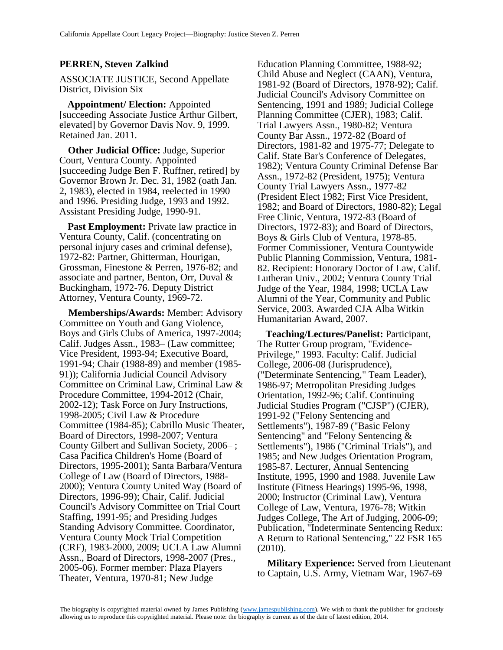## **PERREN, Steven Zalkind**

ASSOCIATE JUSTICE, Second Appellate District, Division Six

**Appointment/ Election:** Appointed [succeeding Associate Justice Arthur Gilbert, elevated] by Governor Davis Nov. 9, 1999. Retained Jan. 2011.

**Other Judicial Office:** Judge, Superior Court, Ventura County. Appointed [succeeding Judge Ben F. Ruffner, retired] by Governor Brown Jr. Dec. 31, 1982 (oath Jan. 2, 1983), elected in 1984, reelected in 1990 and 1996. Presiding Judge, 1993 and 1992. Assistant Presiding Judge, 1990-91.

**Past Employment:** Private law practice in Ventura County, Calif. (concentrating on personal injury cases and criminal defense), 1972-82: Partner, Ghitterman, Hourigan, Grossman, Finestone & Perren, 1976-82; and associate and partner, Benton, Orr, Duval & Buckingham, 1972-76. Deputy District Attorney, Ventura County, 1969-72.

**Memberships/Awards:** Member: Advisory Committee on Youth and Gang Violence, Boys and Girls Clubs of America, 1997-2004; Calif. Judges Assn., 1983– (Law committee; Vice President, 1993-94; Executive Board, 1991-94; Chair (1988-89) and member (1985- 91)); California Judicial Council Advisory Committee on Criminal Law, Criminal Law & Procedure Committee, 1994-2012 (Chair, 2002-12); Task Force on Jury Instructions, 1998-2005; Civil Law & Procedure Committee (1984-85); Cabrillo Music Theater, Board of Directors, 1998-2007; Ventura County Gilbert and Sullivan Society, 2006– ; Casa Pacifica Children's Home (Board of Directors, 1995-2001); Santa Barbara/Ventura College of Law (Board of Directors, 1988- 2000); Ventura County United Way (Board of Directors, 1996-99); Chair, Calif. Judicial Council's Advisory Committee on Trial Court Staffing, 1991-95; and Presiding Judges Standing Advisory Committee. Coordinator, Ventura County Mock Trial Competition (CRF), 1983-2000, 2009; UCLA Law Alumni Assn., Board of Directors, 1998-2007 (Pres., 2005-06). Former member: Plaza Players Theater, Ventura, 1970-81; New Judge

Education Planning Committee, 1988-92; Child Abuse and Neglect (CAAN), Ventura, 1981-92 (Board of Directors, 1978-92); Calif. Judicial Council's Advisory Committee on Sentencing, 1991 and 1989; Judicial College Planning Committee (CJER), 1983; Calif. Trial Lawyers Assn., 1980-82; Ventura County Bar Assn., 1972-82 (Board of Directors, 1981-82 and 1975-77; Delegate to Calif. State Bar's Conference of Delegates, 1982); Ventura County Criminal Defense Bar Assn., 1972-82 (President, 1975); Ventura County Trial Lawyers Assn., 1977-82 (President Elect 1982; First Vice President, 1982; and Board of Directors, 1980-82); Legal Free Clinic, Ventura, 1972-83 (Board of Directors, 1972-83); and Board of Directors, Boys & Girls Club of Ventura, 1978-85. Former Commissioner, Ventura Countywide Public Planning Commission, Ventura, 1981- 82. Recipient: Honorary Doctor of Law, Calif. Lutheran Univ., 2002; Ventura County Trial Judge of the Year, 1984, 1998; UCLA Law Alumni of the Year, Community and Public Service, 2003. Awarded CJA Alba Witkin Humanitarian Award, 2007.

**Teaching/Lectures/Panelist:** Participant, The Rutter Group program, "Evidence-Privilege," 1993. Faculty: Calif. Judicial College, 2006-08 (Jurisprudence), ("Determinate Sentencing," Team Leader), 1986-97; Metropolitan Presiding Judges Orientation, 1992-96; Calif. Continuing Judicial Studies Program ("CJSP") (CJER), 1991-92 ("Felony Sentencing and Settlements"), 1987-89 ("Basic Felony Sentencing" and "Felony Sentencing & Settlements"), 1986 ("Criminal Trials"), and 1985; and New Judges Orientation Program, 1985-87. Lecturer, Annual Sentencing Institute, 1995, 1990 and 1988. Juvenile Law Institute (Fitness Hearings) 1995-96, 1998, 2000; Instructor (Criminal Law), Ventura College of Law, Ventura, 1976-78; Witkin Judges College, The Art of Judging, 2006-09; Publication, "Indeterminate Sentencing Redux: A Return to Rational Sentencing," 22 FSR 165 (2010).

**Military Experience:** Served from Lieutenant to Captain, U.S. Army, Vietnam War, 1967-69